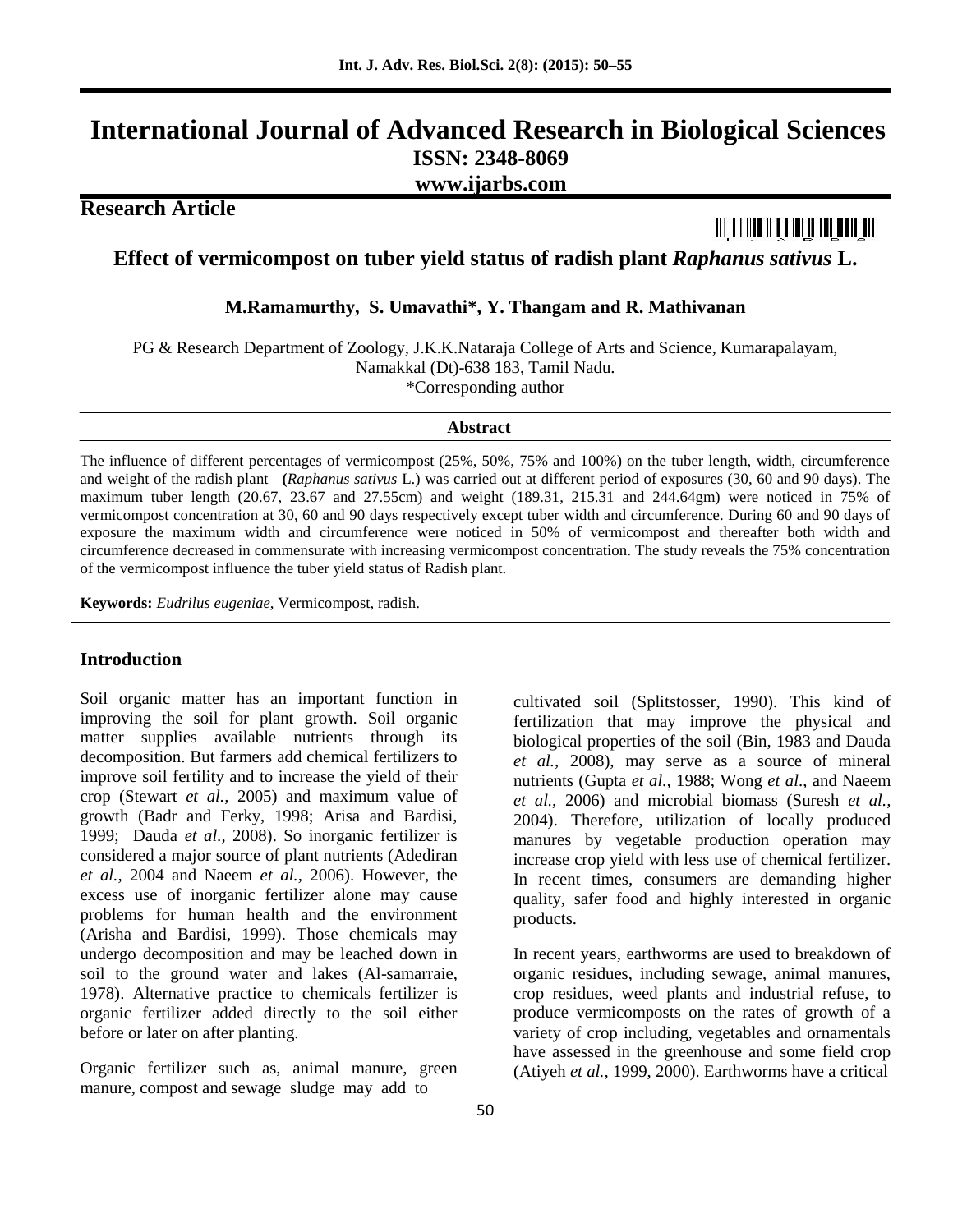## **International Journal of Advanced Research in Biological Sciences ISSN: 2348-8069 www.ijarbs.com**

**Research Article**

# <u> Ali a filio ift a iai ia an och an </u>

**Effect of vermicompost on tuber yield status of radish plant** *Raphanus sativus* **L.**

**M.Ramamurthy, S. Umavathi\*, Y. Thangam and R. Mathivanan**

PG & Research Department of Zoology, J.K.K.Nataraja College of Arts and Science, Kumarapalayam, Namakkal (Dt)-638 183, Tamil Nadu. \*Corresponding author

**Abstract**

The influence of different percentages of vermicompost (25%, 50%, 75% and 100%) on the tuber length, width, circumference and weight of the radish plant **(***Raphanus sativus* L.) was carried out at different period of exposures (30, 60 and 90 days). The maximum tuber length (20.67, 23.67 and 27.55cm) and weight (189.31, 215.31 and 244.64gm) were noticed in 75% of vermicompost concentration at 30, 60 and 90 days respectively except tuber width and circumference. During 60 and 90 days of exposure the maximum width and circumference were noticed in 50% of vermicompost and thereafter both width and circumference decreased in commensurate with increasing vermicompost concentration. The study reveals the 75% concentration of the vermicompost influence the tuber yield status of Radish plant.

**Keywords:** *Eudrilus eugeniae*, Vermicompost, radish.

#### **Introduction**

Soil organic matter has an important function in improving the soil for plant growth. Soil organic matter supplies available nutrients through its decomposition. But farmers add chemical fertilizers to improve soil fertility and to increase the yield of their crop (Stewart *et al.,* 2005) and maximum value of growth (Badr and Ferky, 1998; Arisa and Bardisi, 1999; Dauda *et al.,* 2008). So inorganic fertilizer is considered a major source of plant nutrients (Adediran *et al.,* 2004 and Naeem *et al.,* 2006). However, the excess use of inorganic fertilizer alone may cause problems for human health and the environment (Arisha and Bardisi, 1999). Those chemicals may undergo decomposition and may be leached down in soil to the ground water and lakes (Al-samarraie, 1978). Alternative practice to chemicals fertilizer is organic fertilizer added directly to the soil either before or later on after planting.

Organic fertilizer such as, animal manure, green manure, compost and sewage sludge may add to

50

cultivated soil (Splitstosser, 1990). This kind of fertilization that may improve the physical and biological properties of the soil (Bin, 1983 and Dauda *et al.,* 2008), may serve as a source of mineral nutrients (Gupta *et al.,* 1988; Wong *et al*., and Naeem *et al.,* 2006) and microbial biomass (Suresh *et al.,* 2004). Therefore, utilization of locally produced manures by vegetable production operation may increase crop yield with less use of chemical fertilizer. In recent times, consumers are demanding higher quality, safer food and highly interested in organic products.

In recent years, earthworms are used to breakdown of organic residues, including sewage, animal manures, crop residues, weed plants and industrial refuse, to produce vermicomposts on the rates of growth of a variety of crop including, vegetables and ornamentals have assessed in the greenhouse and some field crop (Atiyeh *et al.,* 1999, 2000). Earthworms have a critical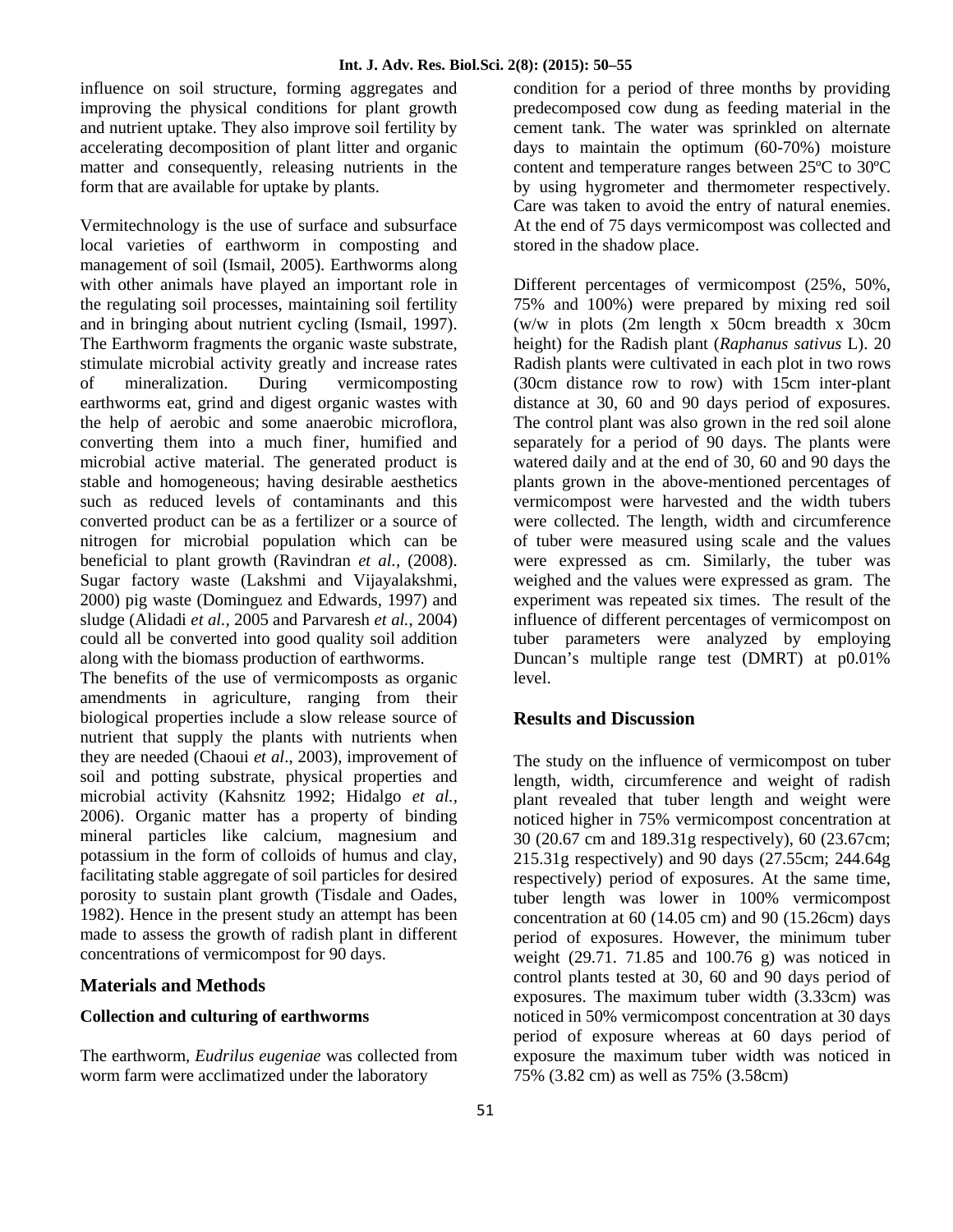influence on soil structure, forming aggregates and improving the physical conditions for plant growth and nutrient uptake. They also improve soil fertility by accelerating decomposition of plant litter and organic matter and consequently, releasing nutrients in the form that are available for uptake by plants.

Vermitechnology is the use of surface and subsurface local varieties of earthworm in composting and management of soil (Ismail, 2005). Earthworms along with other animals have played an important role in the regulating soil processes, maintaining soil fertility and in bringing about nutrient cycling (Ismail, 1997). The Earthworm fragments the organic waste substrate, stimulate microbial activity greatly and increase rates of mineralization. During vermicomposting earthworms eat, grind and digest organic wastes with the help of aerobic and some anaerobic microflora, converting them into a much finer, humified and microbial active material. The generated product is stable and homogeneous; having desirable aesthetics such as reduced levels of contaminants and this converted product can be as a fertilizer or a source of nitrogen for microbial population which can be beneficial to plant growth (Ravindran *et al.,* (2008). Sugar factory waste (Lakshmi and Vijayalakshmi, 2000) pig waste (Dominguez and Edwards, 1997) and sludge (Alidadi *et al.,* 2005 and Parvaresh *et al.,* 2004) could all be converted into good quality soil addition along with the biomass production of earthworms.

The benefits of the use of vermicomposts as organic amendments in agriculture, ranging from their biological properties include a slow release source of nutrient that supply the plants with nutrients when they are needed (Chaoui *et al*., 2003), improvement of soil and potting substrate, physical properties and microbial activity (Kahsnitz 1992; Hidalgo *et al.,* 2006). Organic matter has a property of binding mineral particles like calcium, magnesium and potassium in the form of colloids of humus and clay, facilitating stable aggregate of soil particles for desired porosity to sustain plant growth (Tisdale and Oades, 1982). Hence in the present study an attempt has been made to assess the growth of radish plant in different concentrations of vermicompost for 90 days.

#### **Materials and Methods**

#### **Collection and culturing of earthworms**

The earthworm, *Eudrilus eugeniae* was collected from worm farm were acclimatized under the laboratory

condition for a period of three months by providing predecomposed cow dung as feeding material in the cement tank. The water was sprinkled on alternate days to maintain the optimum (60-70%) moisture content and temperature ranges between 25ºC to 30ºC by using hygrometer and thermometer respectively. Care was taken to avoid the entry of natural enemies. At the end of 75 days vermicompost was collected and stored in the shadow place.

Different percentages of vermicompost (25%, 50%, 75% and 100%) were prepared by mixing red soil (w/w in plots (2m length x 50cm breadth x 30cm height) for the Radish plant (*Raphanus sativus* L). 20 Radish plants were cultivated in each plot in two rows (30cm distance row to row) with 15cm inter-plant distance at 30, 60 and 90 days period of exposures. The control plant was also grown in the red soil alone separately for a period of 90 days. The plants were watered daily and at the end of 30, 60 and 90 days the plants grown in the above-mentioned percentages of vermicompost were harvested and the width tubers were collected. The length, width and circumference of tuber were measured using scale and the values were expressed as cm. Similarly, the tuber was weighed and the values were expressed as gram. The experiment was repeated six times. The result of the influence of different percentages of vermicompost on tuber parameters were analyzed by employing Duncan's multiple range test (DMRT) at p0.01% level.

### **Results and Discussion**

The study on the influence of vermicompost on tuber length, width, circumference and weight of radish plant revealed that tuber length and weight were noticed higher in 75% vermicompost concentration at 30 (20.67 cm and 189.31g respectively), 60 (23.67cm; 215.31g respectively) and 90 days (27.55cm; 244.64g respectively) period of exposures. At the same time, tuber length was lower in 100% vermicompost concentration at  $60$  (14.05 cm) and  $90$  (15.26cm) days period of exposures. However, the minimum tuber weight (29.71. 71.85 and 100.76 g) was noticed in control plants tested at 30, 60 and 90 days period of exposures. The maximum tuber width (3.33cm) was noticed in 50% vermicompost concentration at 30 days period of exposure whereas at 60 days period of exposure the maximum tuber width was noticed in 75% (3.82 cm) as well as 75% (3.58cm)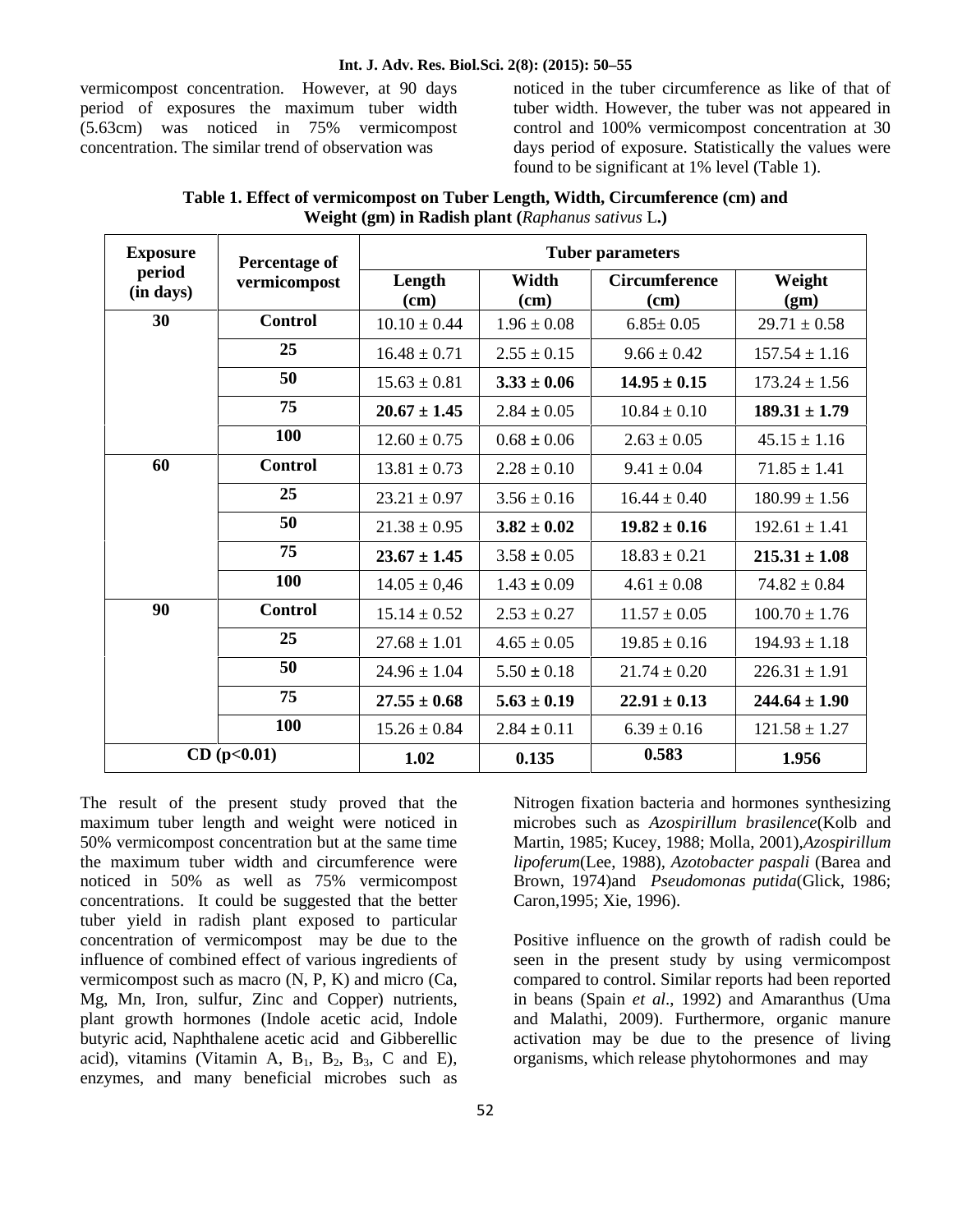#### **Int. J. Adv. Res. Biol.Sci. 2(8): (2015): 50–55**

vermicompost concentration. However, at 90 days period of exposures the maximum tuber width (5.63cm) was noticed in 75% vermicompost concentration. The similar trend of observation was

noticed in the tuber circumference as like of that of tuber width. However, the tuber was not appeared in control and 100% vermicompost concentration at 30 days period of exposure. Statistically the values were found to be significant at 1% level (Table 1).

| Table 1. Effect of vermicompost on Tuber Length, Width, Circumference (cm) and |  |
|--------------------------------------------------------------------------------|--|
| <b>Weight (gm) in Radish plant (Raphanus sativus L.)</b>                       |  |

| <b>Exposure</b><br>period<br>(in days) | Percentage of<br>vermicompost | <b>Tuber parameters</b> |                 |                              |                   |
|----------------------------------------|-------------------------------|-------------------------|-----------------|------------------------------|-------------------|
|                                        |                               | Length<br>(cm)          | Width<br>(cm)   | <b>Circumference</b><br>(cm) | Weight<br>(gm)    |
| 30                                     | <b>Control</b>                | $10.10 \pm 0.44$        | $1.96 \pm 0.08$ | $6.85 \pm 0.05$              | $29.71 \pm 0.58$  |
|                                        | 25                            | $16.48 \pm 0.71$        | $2.55 \pm 0.15$ | $9.66 \pm 0.42$              | $157.54 \pm 1.16$ |
|                                        | 50                            | $15.63 \pm 0.81$        | $3.33 \pm 0.06$ | $14.95 \pm 0.15$             | $173.24 \pm 1.56$ |
|                                        | 75                            | $20.67 \pm 1.45$        | $2.84 \pm 0.05$ | $10.84 \pm 0.10$             | $189.31 \pm 1.79$ |
|                                        | 100                           | $12.60 \pm 0.75$        | $0.68 \pm 0.06$ | $2.63 \pm 0.05$              | $45.15 \pm 1.16$  |
| 60                                     | <b>Control</b>                | $13.81 \pm 0.73$        | $2.28 \pm 0.10$ | $9.41 \pm 0.04$              | $71.85 \pm 1.41$  |
|                                        | 25                            | $23.21 \pm 0.97$        | $3.56 \pm 0.16$ | $16.44 \pm 0.40$             | $180.99 \pm 1.56$ |
|                                        | 50                            | $21.38 \pm 0.95$        | $3.82 \pm 0.02$ | $19.82 \pm 0.16$             | $192.61 \pm 1.41$ |
|                                        | 75                            | $23.67 \pm 1.45$        | $3.58 \pm 0.05$ | $18.83 \pm 0.21$             | $215.31 \pm 1.08$ |
|                                        | 100                           | $14.05 \pm 0.46$        | $1.43 \pm 0.09$ | $4.61 \pm 0.08$              | $74.82 \pm 0.84$  |
| 90                                     | <b>Control</b>                | $15.14 \pm 0.52$        | $2.53 \pm 0.27$ | $11.57 \pm 0.05$             | $100.70 \pm 1.76$ |
|                                        | 25                            | $27.68 \pm 1.01$        | $4.65 \pm 0.05$ | $19.85 \pm 0.16$             | $194.93 \pm 1.18$ |
|                                        | 50                            | $24.96 \pm 1.04$        | $5.50 \pm 0.18$ | $21.74 \pm 0.20$             | $226.31 \pm 1.91$ |
|                                        | 75                            | $27.55 \pm 0.68$        | $5.63 \pm 0.19$ | $22.91 \pm 0.13$             | $244.64 \pm 1.90$ |
|                                        | 100                           | $15.26 \pm 0.84$        | $2.84 \pm 0.11$ | $6.39 \pm 0.16$              | $121.58 \pm 1.27$ |
| CD (p<0.01)                            |                               | 1.02                    | 0.135           | 0.583                        | 1.956             |

The result of the present study proved that the maximum tuber length and weight were noticed in 50% vermicompost concentration but at the same time the maximum tuber width and circumference were noticed in 50% as well as 75% vermicompost concentrations. It could be suggested that the better tuber yield in radish plant exposed to particular concentration of vermicompost may be due to the influence of combined effect of various ingredients of vermicompost such as macro (N, P, K) and micro (Ca, Mg, Mn, Iron, sulfur, Zinc and Copper) nutrients, plant growth hormones (Indole acetic acid, Indole butyric acid, Naphthalene acetic acid and Gibberellic acid), vitamins (Vitamin A,  $B_1$ ,  $B_2$ ,  $B_3$ , C and E), enzymes, and many beneficial microbes such as

Nitrogen fixation bacteria and hormones synthesizing microbes such as *Azospirillum brasilence*(Kolb and Martin, 1985; Kucey, 1988; Molla, 2001),*Azospirillum lipoferum*(Lee, 1988)*, Azotobacter paspali* (Barea and Brown, 1974)and *Pseudomonas putida*(Glick, 1986; Caron,1995; Xie, 1996).

Positive influence on the growth of radish could be seen in the present study by using vermicompost compared to control. Similar reports had been reported in beans (Spain *et al*., 1992) and Amaranthus (Uma and Malathi, 2009). Furthermore, organic manure activation may be due to the presence of living organisms, which release phytohormones and may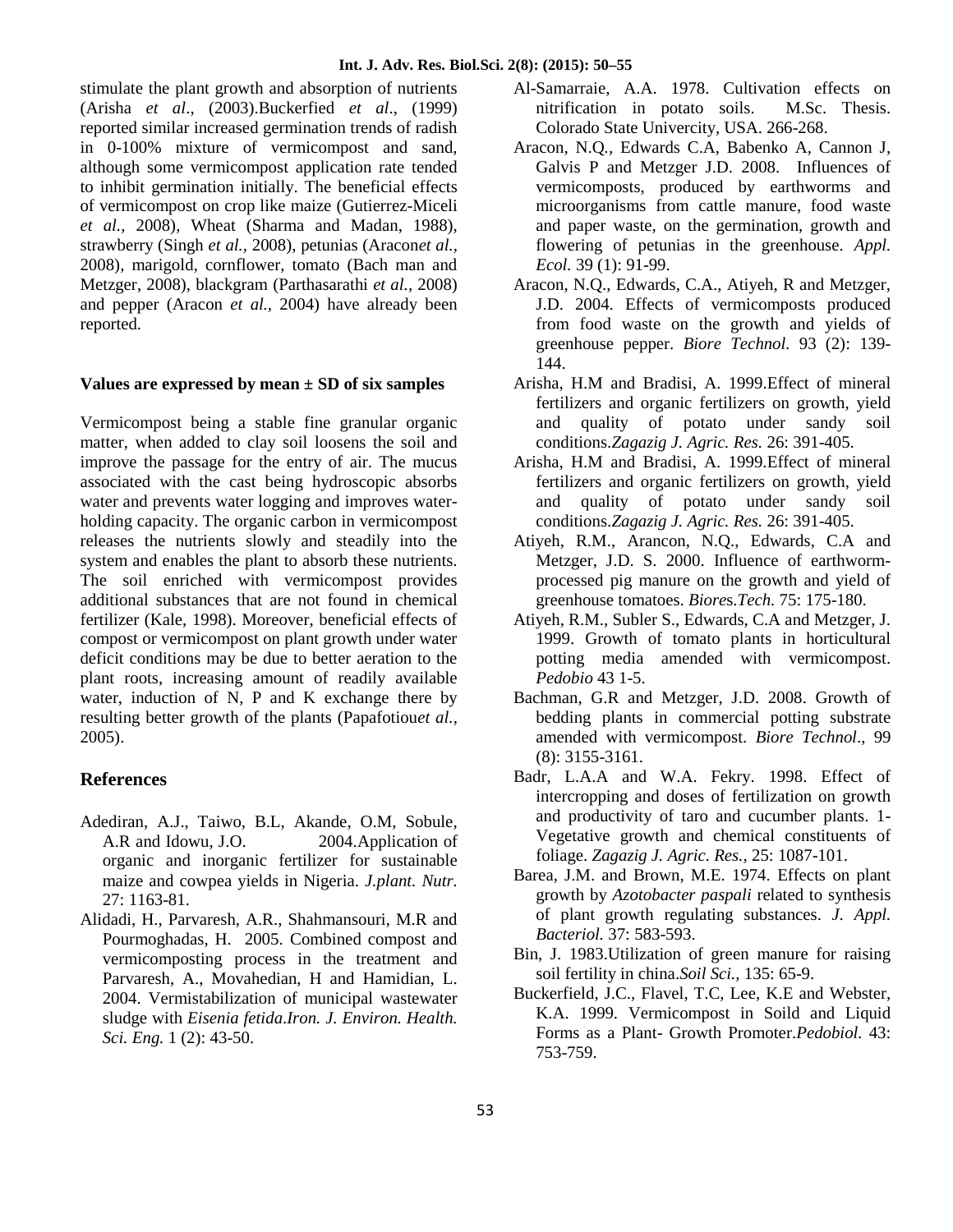stimulate the plant growth and absorption of nutrients (Arisha *et al*., (2003).Buckerfied *et al*., (1999) reported similar increased germination trends of radish in 0-100% mixture of vermicompost and sand, although some vermicompost application rate tended to inhibit germination initially. The beneficial effects of vermicompost on crop like maize (Gutierrez-Miceli *et al.,* 2008), Wheat (Sharma and Madan, 1988), strawberry (Singh *et al.,* 2008), petunias (Aracon*et al.,* 2008), marigold, cornflower, tomato (Bach man and Metzger, 2008), blackgram (Parthasarathi *et al.,* 2008) and pepper (Aracon *et al.,* 2004) have already been reported.

#### **Values are expressed by mean ± SD of six samples**

Vermicompost being a stable fine granular organic matter, when added to clay soil loosens the soil and improve the passage for the entry of air. The mucus associated with the cast being hydroscopic absorbs water and prevents water logging and improves water holding capacity. The organic carbon in vermicompost releases the nutrients slowly and steadily into the system and enables the plant to absorb these nutrients. The soil enriched with vermicompost provides additional substances that are not found in chemical fertilizer (Kale, 1998). Moreover, beneficial effects of compost or vermicompost on plant growth under water deficit conditions may be due to better aeration to the plant roots, increasing amount of readily available water, induction of N, P and K exchange there by resulting better growth of the plants (Papafotiou*et al.,* 2005).

#### **References**

- Adediran, A.J., Taiwo, B.L, Akande, O.M, Sobule, A.R and Idowu, J.O. 2004.Application of organic and inorganic fertilizer for sustainable maize and cowpea yields in Nigeria. *J.plant. Nutr.* 27: 1163-81.
- Alidadi, H., Parvaresh, A.R., Shahmansouri, M.R and Pourmoghadas, H. 2005. Combined compost and vermicomposting process in the treatment and Parvaresh, A., Movahedian, H and Hamidian, L. 2004. Vermistabilization of municipal wastewater sludge with *Eisenia fetida*.*Iron. J. Environ. Health. Sci. Eng.* 1 (2): 43-50.
- Al-Samarraie, A.A. 1978. Cultivation effects on nitrification in potato soils. M.Sc. Thesis. Colorado State Univercity, USA. 266-268.
- Aracon, N.Q*.,* Edwards C.A, Babenko A, Cannon J, Galvis P and Metzger J.D. 2008. Influences of vermicomposts, produced by earthworms and microorganisms from cattle manure, food waste and paper waste, on the germination, growth and flowering of petunias in the greenhouse. *Appl. Ecol.* 39 (1): 91-99.
- Aracon, N.Q., Edwards, C.A., Atiyeh, R and Metzger, J.D. 2004. Effects of vermicomposts produced from food waste on the growth and yields of greenhouse pepper. *Biore Technol.* 93 (2): 139- 144.
- Arisha, H.M and Bradisi, A. 1999.Effect of mineral fertilizers and organic fertilizers on growth, yield and quality of potato under sandy soil conditions.*Zagazig J. Agric. Res.* 26: 391-405.
- Arisha, H.M and Bradisi, A. 1999.Effect of mineral fertilizers and organic fertilizers on growth, yield and quality of potato under sandy soil conditions.*Zagazig J. Agric. Res.* 26: 391-405.
- Atiyeh, R.M., Arancon, N.Q., Edwards, C.A and Metzger, J.D. S. 2000. Influence of earthworm processed pig manure on the growth and yield of greenhouse tomatoes. *Biore*s.*Tech.* 75: 175-180.
- Atiyeh, R.M., Subler S., Edwards, C.A and Metzger, J. 1999. Growth of tomato plants in horticultural potting media amended with vermicompost. *Pedobio* 43 1-5.
- Bachman, G.R and Metzger, J.D. 2008. Growth of bedding plants in commercial potting substrate amended with vermicompost. *Biore Technol*., 99 (8): 3155-3161.
- Badr, L.A.A and W.A. Fekry. 1998. Effect of intercropping and doses of fertilization on growth and productivity of taro and cucumber plants. 1- Vegetative growth and chemical constituents of foliage. *Zagazig J. Agric. Res.,* 25: 1087-101.
- Barea, J.M. and Brown, M.E. 1974. Effects on plant growth by *Azotobacter paspali* related to synthesis of plant growth regulating substances. *J. Appl. Bacteriol.* 37: 583-593.
- Bin, J. 1983.Utilization of green manure for raising soil fertility in china.*Soil Sci.,* 135: 65-9.
- Buckerfield, J.C., Flavel, T.C, Lee, K.E and Webster, K.A. 1999. Vermicompost in Soild and Liquid Forms as a Plant- Growth Promoter.*Pedobiol.* 43: 753-759.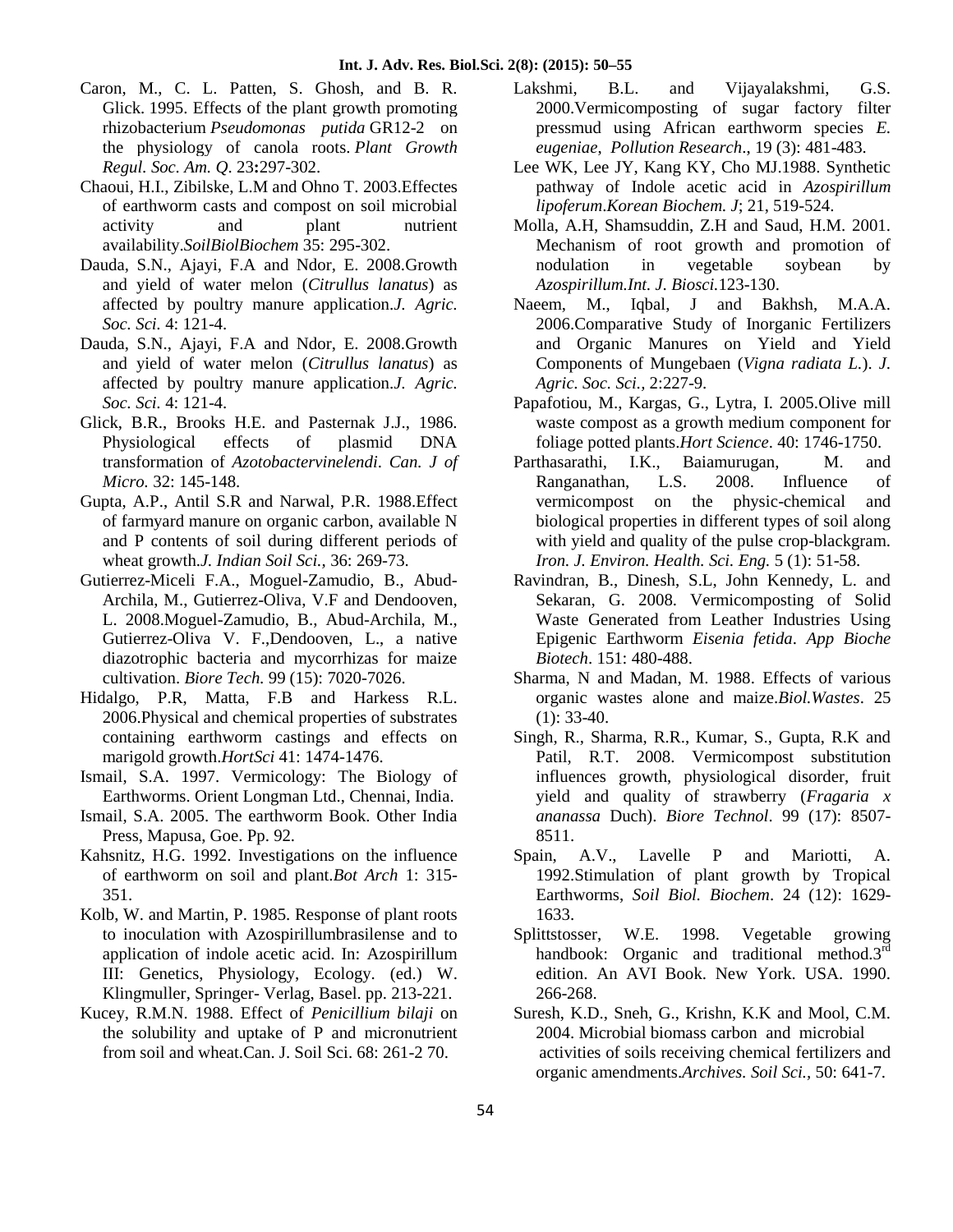- Caron, M., C. L. Patten, S. Ghosh, and B. R. Glick. 1995. Effects of the plant growth promoting rhizobacterium *Pseudomonas putida* GR12-2 on the physiology of canola roots. *Plant Growth Regul. Soc. Am. Q*. 23**:**297-302.
- Chaoui, H.I., Zibilske, L.M and Ohno T. 2003.Effectes of earthworm casts and compost on soil microbial activity and plant nutrient availability.*SoilBiolBiochem* 35: 295-302.
- Dauda, S.N., Ajayi, F.A and Ndor, E. 2008.Growth and yield of water melon (*Citrullus lanatus*) as affected by poultry manure application.*J. Agric. Soc. Sci.* 4: 121-4.
- Dauda, S.N., Ajayi, F.A and Ndor, E. 2008.Growth and yield of water melon (*Citrullus lanatus*) as affected by poultry manure application.*J. Agric. Soc. Sci.* 4: 121-4.
- Glick, B.R., Brooks H.E. and Pasternak J.J., 1986. Physiological effects of plasmid DNA transformation of *Azotobactervinelendi*. *Can. J of Micro.* 32: 145-148.
- Gupta, A.P., Antil S.R and Narwal, P.R. 1988.Effect of farmyard manure on organic carbon, available N and P contents of soil during different periods of wheat growth.*J. Indian Soil Sci.,* 36: 269-73.
- Gutierrez-Miceli F.A., Moguel-Zamudio, B., Abud- Archila, M., Gutierrez-Oliva, V.F and Dendooven, L. 2008.Moguel-Zamudio, B., Abud-Archila, M., Gutierrez-Oliva V. F.,Dendooven, L., a native diazotrophic bacteria and mycorrhizas for maize cultivation. *Biore Tech.* 99 (15): 7020-7026.
- Hidalgo, P.R, Matta, F.B and Harkess R.L. 2006.Physical and chemical properties of substrates containing earthworm castings and effects on marigold growth.*HortSci* 41: 1474-1476.
- Ismail, S.A. 1997. Vermicology: The Biology of Earthworms. Orient Longman Ltd., Chennai, India.
- Ismail, S.A. 2005. The earthworm Book. Other India Press, Mapusa, Goe. Pp. 92.
- Kahsnitz, H.G. 1992. Investigations on the influence Spain, of earthworm on soil and plant.*Bot Arch* 1: 315- 351.
- Kolb, W. and Martin, P. 1985. Response of plant roots to inoculation with Azospirillumbrasilense and to application of indole acetic acid. In: Azospirillum III: Genetics, Physiology, Ecology. (ed.) W. Klingmuller, Springer- Verlag, Basel. pp. 213-221.
- Kucey, R.M.N. 1988. Effect of *Penicillium bilaji* on the solubility and uptake of P and micronutrient from soil and wheat.Can. J. Soil Sci. 68: 261-2 70.
- Lakshmi, B.L. and Vijayalakshmi, G.S. 2000.Vermicomposting of sugar factory filter pressmud using African earthworm species *E. eugeniae*, *Pollution Research*., 19 (3): 481-483.
- Lee WK, Lee JY, Kang KY, Cho MJ.1988. Synthetic pathway of Indole acetic acid in *Azospirillum lipoferum*.*Korean Biochem. J*; 21, 519-524.
- Molla, A.H, Shamsuddin, Z.H and Saud, H.M. 2001. Mechanism of root growth and promotion of nodulation in vegetable soybean by *Azospirillum.Int. J. Biosci.*123-130.
- Naeem, M., Iqbal, J and Bakhsh, M.A.A. 2006.Comparative Study of Inorganic Fertilizers and Organic Manures on Yield and Yield Components of Mungebaen (*Vigna radiata L.*).*J. Agric. Soc. Sci.,* 2:227-9.
- Papafotiou, M., Kargas, G., Lytra, I. 2005.Olive mill waste compost as a growth medium component for foliage potted plants.*Hort Science*. 40: 1746-1750.
- Parthasarathi, I.K., Baiamurugan, M. and Ranganathan, L.S. 2008. Influence of vermicompost on the physic-chemical and biological properties in different types of soil along with yield and quality of the pulse crop-blackgram. *Iron. J. Environ. Health. Sci. Eng.* 5 (1): 51-58.
- Ravindran, B., Dinesh, S.L, John Kennedy, L. and Sekaran, G. 2008. Vermicomposting of Solid Waste Generated from Leather Industries Using Epigenic Earthworm *Eisenia fetida*. *App Bioche Biotech*. 151: 480-488.
- Sharma, N and Madan, M. 1988. Effects of various organic wastes alone and maize.*Biol.Wastes*. 25 (1): 33-40.
- Singh, R., Sharma, R.R., Kumar, S., Gupta, R.K and Patil, R.T. 2008. Vermicompost substitution influences growth, physiological disorder, fruit yield and quality of strawberry (*Fragaria x ananassa* Duch). *Biore Technol*. 99 (17): 8507- 8511.
- A.V., Lavelle P and Mariotti, A. 1992.Stimulation of plant growth by Tropical Earthworms, *Soil Biol. Biochem*. 24 (12): 1629- 1633.
- Splittstosser, W.E. 1998. Vegetable growing handbook: Organic and traditional method.3<sup>rd</sup> edition. An AVI Book. New York. USA. 1990. 266-268.
- Suresh, K.D., Sneh, G., Krishn, K.K and Mool, C.M. 2004. Microbial biomass carbon and microbial activities of soils receiving chemical fertilizers and organic amendments.*Archives. Soil Sci.,* 50: 641-7.